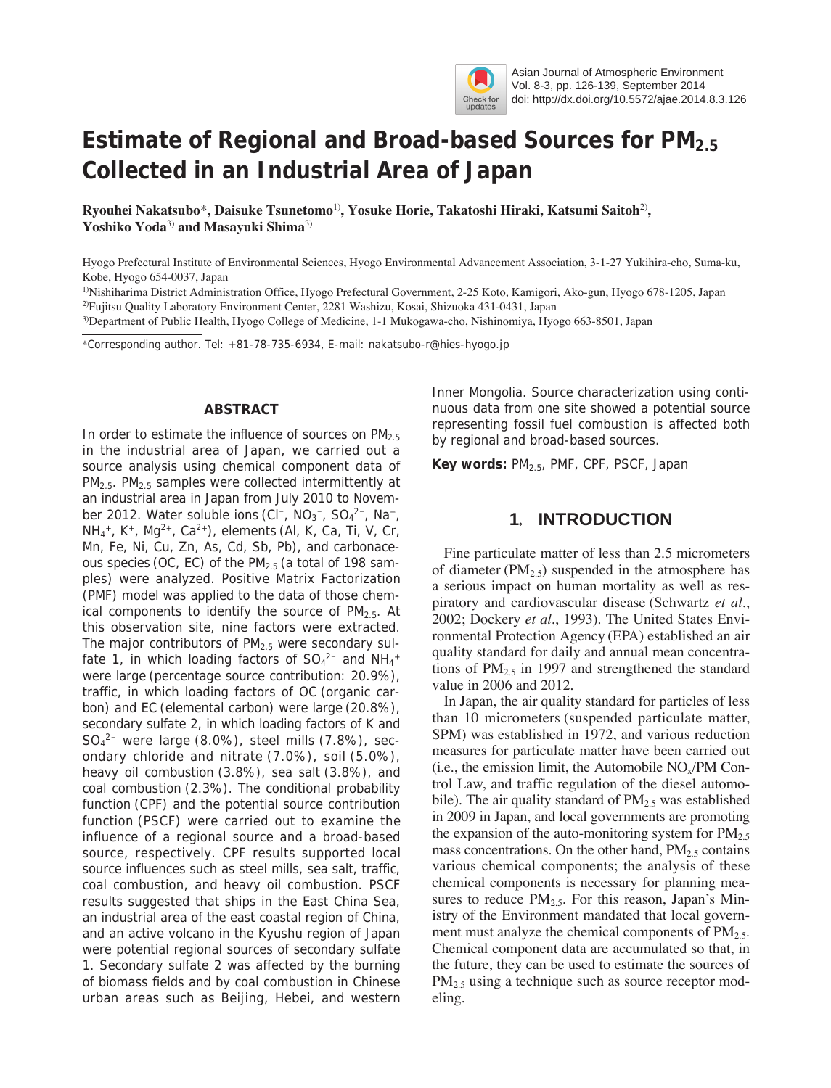

# **Estimate of Regional and Broad-based Sources for PM2.5 Collected in an Industrial Area of Japan**

**Ryouhei Nakatsubo**\***, Daisuke Tsunetomo**1)**, Yosuke Horie, Takatoshi Hiraki, Katsumi Saitoh**2)**, Yoshiko Yoda**3) **and Masayuki Shima**3)

Hyogo Prefectural Institute of Environmental Sciences, Hyogo Environmental Advancement Association, 3-1-27 Yukihira-cho, Suma-ku, Kobe, Hyogo 654-0037, Japan

<sup>1)</sup>Nishiharima District Administration Office, Hyogo Prefectural Government, 2-25 Koto, Kamigori, Ako-gun, Hyogo 678-1205, Japan 2)Fujitsu Quality Laboratory Environment Center, 2281 Washizu, Kosai, Shizuoka 431-0431, Japan

3)Department of Public Health, Hyogo College of Medicine, 1-1 Mukogawa-cho, Nishinomiya, Hyogo 663-8501, Japan

\*Corresponding author. Tel: +81-78-735-6934, E-mail: nakatsubo-r@hies-hyogo.jp

## **ABSTRACT**

In order to estimate the influence of sources on  $PM<sub>2.5</sub>$ in the industrial area of Japan, we carried out a source analysis using chemical component data of PM<sub>2.5</sub>. PM<sub>2.5</sub> samples were collected intermittently at an industrial area in Japan from July 2010 to November 2012. Water soluble ions (CI<sup>-</sup>, NO<sub>3</sub><sup>-</sup>, SO<sub>4</sub><sup>2-</sup>, Na<sup>+</sup>,  $NH_4^+$ , K<sup>+</sup>, Mg<sup>2+</sup>, Ca<sup>2+</sup>), elements (Al, K, Ca, Ti, V, Cr, Mn, Fe, Ni, Cu, Zn, As, Cd, Sb, Pb), and carbonaceous species (OC, EC) of the  $PM<sub>2.5</sub>$  (a total of 198 samples) were analyzed. Positive Matrix Factorization (PMF) model was applied to the data of those chemical components to identify the source of  $PM<sub>2.5</sub>$ . At this observation site, nine factors were extracted. The major contributors of  $PM<sub>2.5</sub>$  were secondary sulfate 1, in which loading factors of  $SO_4^2$  and NH<sub>4</sub><sup>+</sup> were large (percentage source contribution: 20.9%), traffic, in which loading factors of OC (organic carbon) and EC (elemental carbon) were large (20.8%), secondary sulfate 2, in which loading factors of K and  $SO_4^{2-}$  were large (8.0%), steel mills (7.8%), secondary chloride and nitrate (7.0%), soil (5.0%), heavy oil combustion (3.8%), sea salt (3.8%), and coal combustion (2.3%). The conditional probability function (CPF) and the potential source contribution function (PSCF) were carried out to examine the influence of a regional source and a broad-based source, respectively. CPF results supported local source influences such as steel mills, sea salt, traffic, coal combustion, and heavy oil combustion. PSCF results suggested that ships in the East China Sea, an industrial area of the east coastal region of China, and an active volcano in the Kyushu region of Japan were potential regional sources of secondary sulfate 1. Secondary sulfate 2 was affected by the burning of biomass fields and by coal combustion in Chinese urban areas such as Beijing, Hebei, and western

Inner Mongolia. Source characterization using continuous data from one site showed a potential source representing fossil fuel combustion is affected both by regional and broad-based sources.

**Key words:** PM2.5, PMF, CPF, PSCF, Japan

# **1**.**INTRODUCTION**

Fine particulate matter of less than 2.5 micrometers of diameter ( $PM_{2.5}$ ) suspended in the atmosphere has a serious impact on human mortality as well as respiratory and cardiovascular disease (Schwartz *et al.*, 2002; Dockery *et al.*, 1993). The United States Environmental Protection Agency (EPA) established an air quality standard for daily and annual mean concentrations of  $PM_{2.5}$  in 1997 and strengthened the standard value in 2006 and 2012.

In Japan, the air quality standard for particles of less than 10 micrometers (suspended particulate matter, SPM) was established in 1972, and various reduction measures for particulate matter have been carried out (i.e., the emission limit, the Automobile  $NO<sub>x</sub>/PM$  Control Law, and traffic regulation of the diesel automobile). The air quality standard of  $PM_{2.5}$  was established in 2009 in Japan, and local governments are promoting the expansion of the auto-monitoring system for  $PM_{2.5}$ mass concentrations. On the other hand,  $PM<sub>2.5</sub>$  contains various chemical components; the analysis of these chemical components is necessary for planning measures to reduce  $PM_{2.5}$ . For this reason, Japan's Ministry of the Environment mandated that local government must analyze the chemical components of  $PM<sub>2.5</sub>$ . Chemical component data are accumulated so that, in the future, they can be used to estimate the sources of PM<sub>2.5</sub> using a technique such as source receptor modeling.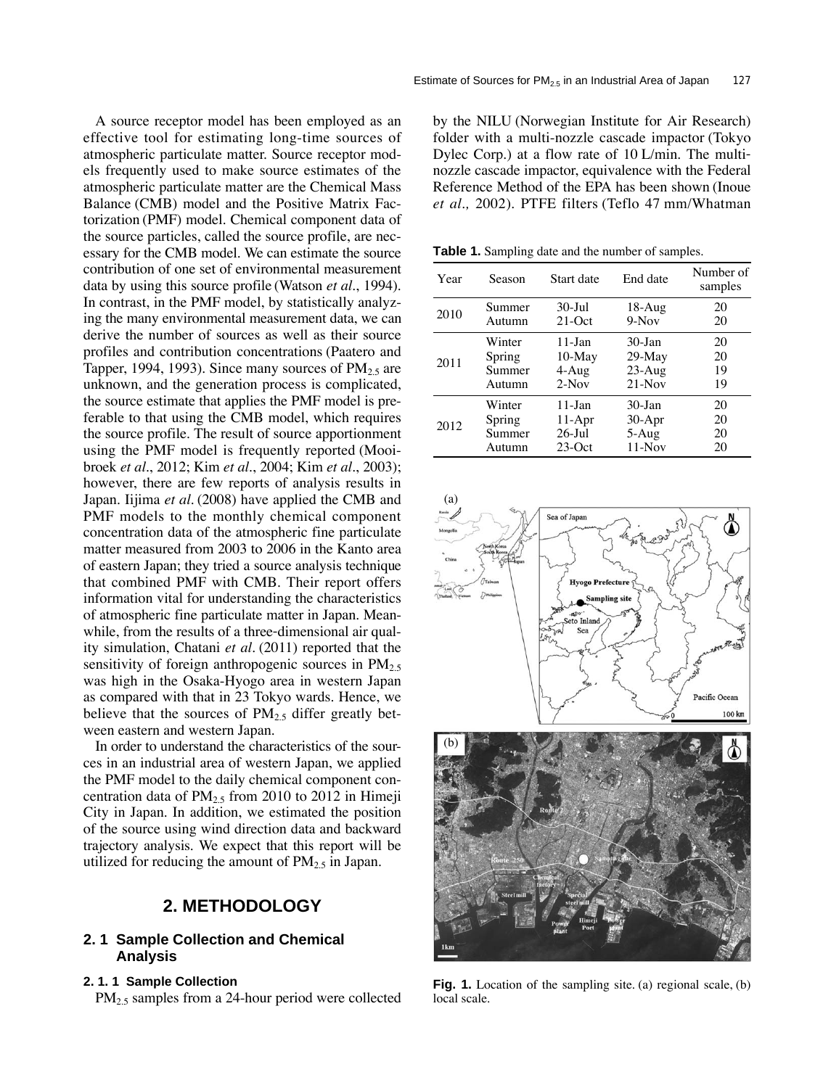A source receptor model has been employed as an effective tool for estimating long-time sources of atmospheric particulate matter. Source receptor models frequently used to make source estimates of the atmospheric particulate matter are the Chemical Mass Balance (CMB) model and the Positive Matrix Factorization (PMF) model. Chemical component data of the source particles, called the source profile, are necessary for the CMB model. We can estimate the source contribution of one set of environmental measurement data by using this source profile (Watson *et al.*, 1994). In contrast, in the PMF model, by statistically analyzing the many environmental measurement data, we can derive the number of sources as well as their source profiles and contribution concentrations (Paatero and Tapper, 1994, 1993). Since many sources of  $PM_{2.5}$  are unknown, and the generation process is complicated, the source estimate that applies the PMF model is preferable to that using the CMB model, which requires the source profile. The result of source apportionment using the PMF model is frequently reported (Mooibroek *et al.*, 2012; Kim *et al.*, 2004; Kim *et al.*, 2003); however, there are few reports of analysis results in Japan. Iijima *et al.* (2008) have applied the CMB and PMF models to the monthly chemical component concentration data of the atmospheric fine particulate matter measured from 2003 to 2006 in the Kanto area of eastern Japan; they tried a source analysis technique that combined PMF with CMB. Their report offers information vital for understanding the characteristics of atmospheric fine particulate matter in Japan. Meanwhile, from the results of a three-dimensional air quality simulation, Chatani *et al.* (2011) reported that the sensitivity of foreign anthropogenic sources in  $PM_{2.5}$ was high in the Osaka-Hyogo area in western Japan as compared with that in 23 Tokyo wards. Hence, we believe that the sources of  $PM_2$ , differ greatly between eastern and western Japan.

In order to understand the characteristics of the sources in an industrial area of western Japan, we applied the PMF model to the daily chemical component concentration data of  $PM_{2.5}$  from 2010 to 2012 in Himeji City in Japan. In addition, we estimated the position of the source using wind direction data and backward trajectory analysis. We expect that this report will be utilized for reducing the amount of  $PM<sub>2.5</sub>$  in Japan.

## **2. METHODOLOGY**

## **2. 1 Sample Collection and Chemical Analysis**

#### **2. 1. 1 Sample Collection**

PM<sub>2.5</sub> samples from a 24-hour period were collected

by the NILU (Norwegian Institute for Air Research) folder with a multi-nozzle cascade impactor (Tokyo Dylec Corp.) at a flow rate of 10 L/min. The multinozzle cascade impactor, equivalence with the Federal Reference Method of the EPA has been shown (Inoue *et al.,* 2002). PTFE filters (Teflo 47 mm/Whatman

**Table 1.** Sampling date and the number of samples.

| Year | Season | Start date | End date   | Number of<br>samples |
|------|--------|------------|------------|----------------------|
| 2010 | Summer | $30 -$ Jul | $18-Aug$   | 20                   |
|      | Autumn | $21-Oct$   | $9-Nov$    | 20                   |
| 2011 | Winter | $11$ -Jan  | $30 - Jan$ | 20                   |
|      | Spring | $10-May$   | $29$ -May  | 20                   |
|      | Summer | $4-Aug$    | $23-Aug$   | 19                   |
|      | Autumn | $2-Nov$    | $21-Nov$   | 19                   |
| 2012 | Winter | $11$ -Jan  | $30 - Jan$ | 20                   |
|      | Spring | $11-Apr$   | $30-Apr$   | 20                   |
|      | Summer | $26$ -Jul  | $5-Aug$    | 20                   |
|      | Autumn | $23-Oct$   | $11-Nov$   | 20                   |



**Fig. 1.** Location of the sampling site. (a) regional scale, (b) local scale.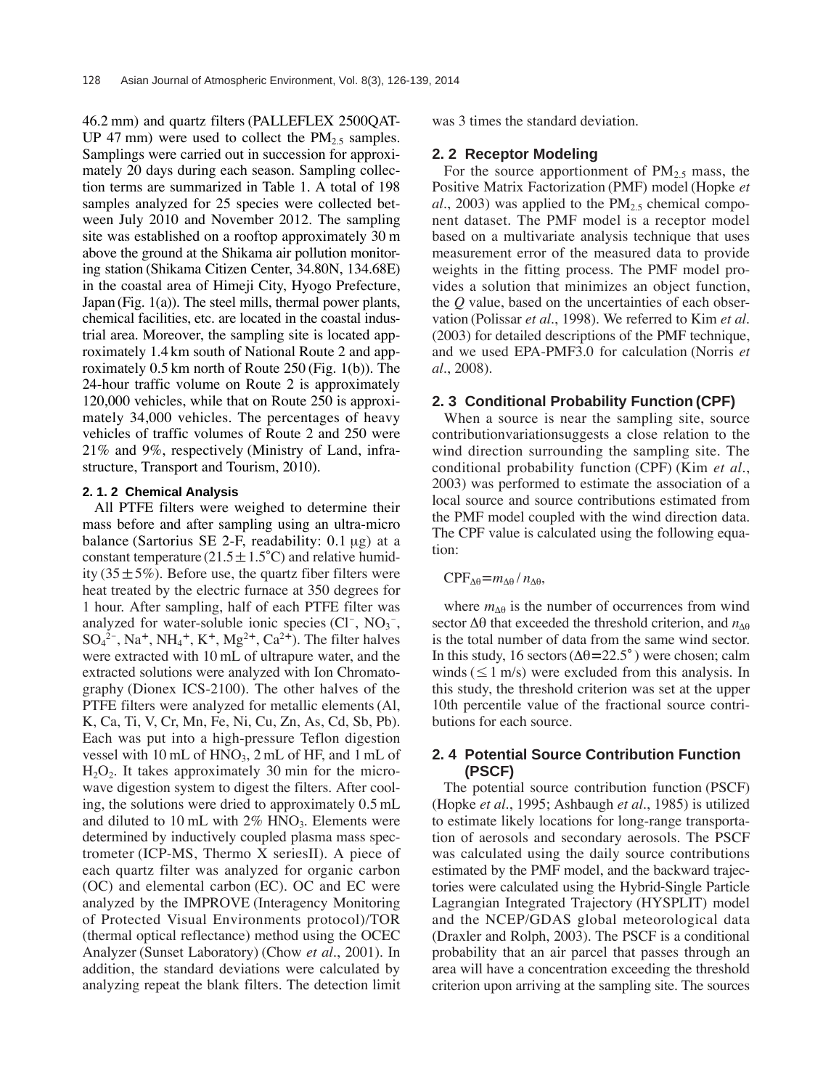46.2 mm) and quartz filters (PALLEFLEX 2500QAT-UP 47 mm) were used to collect the  $PM<sub>2.5</sub>$  samples. Samplings were carried out in succession for approximately 20 days during each season. Sampling collection terms are summarized in Table 1. A total of 198 samples analyzed for 25 species were collected between July 2010 and November 2012. The sampling site was established on a rooftop approximately 30 m above the ground at the Shikama air pollution monitoring station (Shikama Citizen Center, 34.80N, 134.68E) in the coastal area of Himeji City, Hyogo Prefecture, Japan (Fig. 1(a)). The steel mills, thermal power plants, chemical facilities, etc. are located in the coastal industrial area. Moreover, the sampling site is located approximately 1.4 km south of National Route 2 and approximately 0.5 km north of Route 250 (Fig. 1(b)). The 24-hour traffic volume on Route 2 is approximately 120,000 vehicles, while that on Route 250 is approximately 34,000 vehicles. The percentages of heavy vehicles of traffic volumes of Route 2 and 250 were 21% and 9%, respectively (Ministry of Land, infrastructure, Transport and Tourism, 2010).

#### **2. 1. 2 Chemical Analysis**

All PTFE filters were weighed to determine their mass before and after sampling using an ultra-micro balance (Sartorius SE 2-F, readability: 0.1 μg) at a constant temperature  $(21.5 \pm 1.5^{\circ}C)$  and relative humidity (35 $\pm$ 5%). Before use, the quartz fiber filters were heat treated by the electric furnace at 350 degrees for 1 hour. After sampling, half of each PTFE filter was analyzed for water-soluble ionic species  $(Cl^-, NO_3^-$ ,  $SO_4^2$ <sup>-</sup>, Na<sup>+</sup>, NH<sub>4</sub><sup>+</sup>, K<sup>+</sup>, Mg<sup>2+</sup>, Ca<sup>2+</sup>). The filter halves were extracted with 10 mL of ultrapure water, and the extracted solutions were analyzed with Ion Chromatography (Dionex ICS-2100). The other halves of the PTFE filters were analyzed for metallic elements (Al, K, Ca, Ti, V, Cr, Mn, Fe, Ni, Cu, Zn, As, Cd, Sb, Pb). Each was put into a high-pressure Teflon digestion vessel with 10 mL of HNO<sub>3</sub>, 2 mL of HF, and 1 mL of  $H_2O_2$ . It takes approximately 30 min for the microwave digestion system to digest the filters. After cooling, the solutions were dried to approximately 0.5 mL and diluted to 10 mL with  $2\%$  HNO<sub>3</sub>. Elements were determined by inductively coupled plasma mass spectrometer (ICP-MS, Thermo X seriesII). A piece of each quartz filter was analyzed for organic carbon (OC) and elemental carbon (EC). OC and EC were analyzed by the IMPROVE (Interagency Monitoring of Protected Visual Environments protocol)/TOR (thermal optical reflectance) method using the OCEC Analyzer (Sunset Laboratory) (Chow *et al.*, 2001). In addition, the standard deviations were calculated by analyzing repeat the blank filters. The detection limit was 3 times the standard deviation.

#### **2. 2 Receptor Modeling**

For the source apportionment of  $PM<sub>2.5</sub>$  mass, the Positive Matrix Factorization (PMF) model (Hopke *et*  $al., 2003$ ) was applied to the  $PM<sub>2.5</sub>$  chemical component dataset. The PMF model is a receptor model based on a multivariate analysis technique that uses measurement error of the measured data to provide weights in the fitting process. The PMF model provides a solution that minimizes an object function, the *Q* value, based on the uncertainties of each observation (Polissar *et al.*, 1998). We referred to Kim *et al.* (2003) for detailed descriptions of the PMF technique, and we used EPA-PMF3.0 for calculation (Norris *et al.*, 2008).

#### **2. 3 Conditional Probability Function (CPF)**

When a source is near the sampling site, source contributionvariationsuggests a close relation to the wind direction surrounding the sampling site. The conditional probability function (CPF) (Kim *et al.*, 2003) was performed to estimate the association of a local source and source contributions estimated from the PMF model coupled with the wind direction data. The CPF value is calculated using the following equation:

## $CPF_{\Delta\theta} = m_{\Delta\theta} / n_{\Delta\theta}$

where  $m_{\Delta\theta}$  is the number of occurrences from wind sector  $\Delta\theta$  that exceeded the threshold criterion, and  $n_{\text{AB}}$ is the total number of data from the same wind sector. In this study, 16 sectors ( $Δθ=22.5°$ ) were chosen; calm winds ( $\leq 1$  m/s) were excluded from this analysis. In this study, the threshold criterion was set at the upper 10th percentile value of the fractional source contributions for each source.

## **2. 4 Potential Source Contribution Function (PSCF)**

The potential source contribution function (PSCF) (Hopke *et al.*, 1995; Ashbaugh *et al.*, 1985) is utilized to estimate likely locations for long-range transportation of aerosols and secondary aerosols. The PSCF was calculated using the daily source contributions estimated by the PMF model, and the backward trajectories were calculated using the Hybrid-Single Particle Lagrangian Integrated Trajectory (HYSPLIT) model and the NCEP/GDAS global meteorological data (Draxler and Rolph, 2003). The PSCF is a conditional probability that an air parcel that passes through an area will have a concentration exceeding the threshold criterion upon arriving at the sampling site. The sources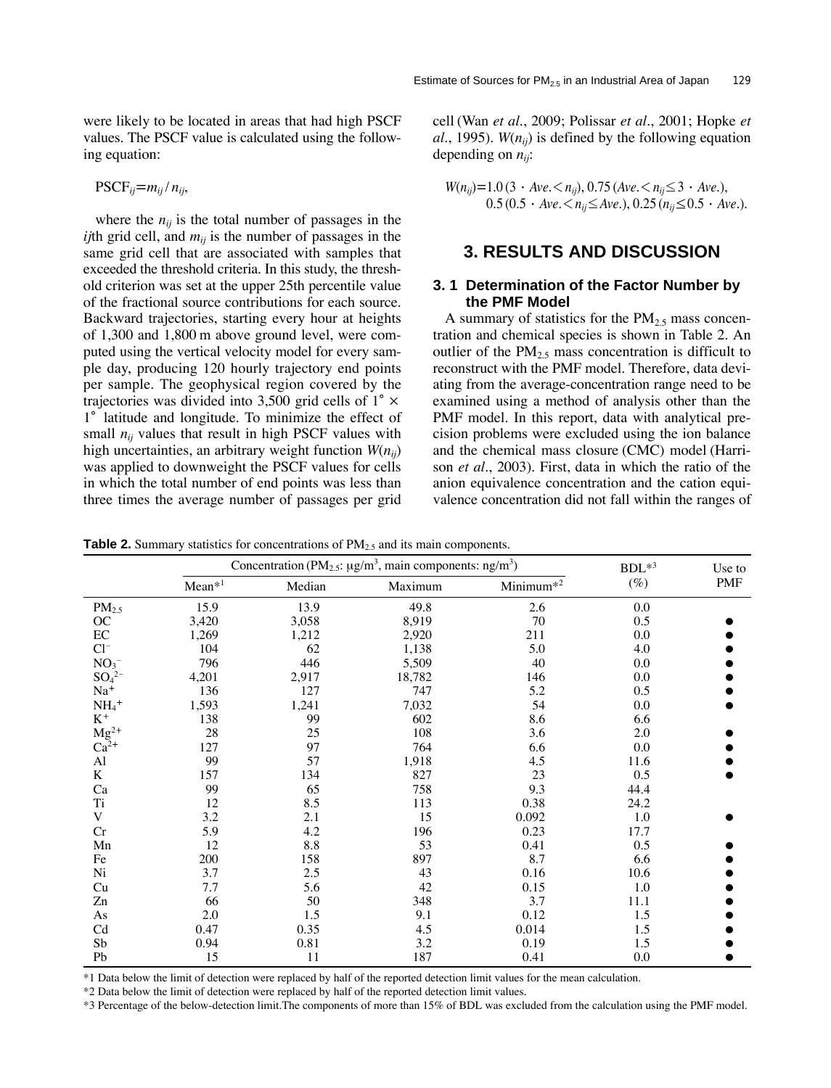were likely to be located in areas that had high PSCF values. The PSCF value is calculated using the following equation:

$$
\mathrm{PSCF}_{ij} = m_{ij} / n_{ij},
$$

where the  $n_{ij}$  is the total number of passages in the *ij*th grid cell, and  $m_{ij}$  is the number of passages in the same grid cell that are associated with samples that exceeded the threshold criteria. In this study, the threshold criterion was set at the upper 25th percentile value of the fractional source contributions for each source. Backward trajectories, starting every hour at heights of 1,300 and 1,800 m above ground level, were computed using the vertical velocity model for every sample day, producing 120 hourly trajectory end points per sample. The geophysical region covered by the trajectories was divided into 3,500 grid cells of  $1^\circ \times$ 1° latitude and longitude. To minimize the effect of small  $n_{ij}$  values that result in high PSCF values with high uncertainties, an arbitrary weight function *W*(*nij*) was applied to downweight the PSCF values for cells in which the total number of end points was less than three times the average number of passages per grid cell (Wan *et al.*, 2009; Polissar *et al.*, 2001; Hopke *et al.*, 1995).  $W(n_{ij})$  is defined by the following equation depending on *nij*:

$$
W(n_{ij})=1.0 (3 \cdot Ave,   
0.5 (0.5 \cdot Ave, **n_{ij} \le Ave.*), 0.25 (*n_{ij} \le 0.5* \cdot Ave.).*
$$

# **3. RESULTS AND DISCUSSION**

#### **3. 1 Determination of the Factor Number by the PMF Model**

A summary of statistics for the  $PM<sub>2.5</sub>$  mass concentration and chemical species is shown in Table 2. An outlier of the  $PM<sub>2.5</sub>$  mass concentration is difficult to reconstruct with the PMF model. Therefore, data deviating from the average-concentration range need to be examined using a method of analysis other than the PMF model. In this report, data with analytical precision problems were excluded using the ion balance and the chemical mass closure (CMC) model (Harrison *et al.*, 2003). First, data in which the ratio of the anion equivalence concentration and the cation equivalence concentration did not fall within the ranges of

**Table 2.** Summary statistics for concentrations of  $PM<sub>25</sub>$  and its main components.

|                           |          | Concentration (PM <sub>2.5</sub> : $\mu$ g/m <sup>3</sup> , main components: ng/m <sup>3</sup> ) | $BDL^{*3}$ | Use to                |         |     |
|---------------------------|----------|--------------------------------------------------------------------------------------------------|------------|-----------------------|---------|-----|
|                           | $Mean*1$ | Median                                                                                           | Maximum    | Minimum <sup>*2</sup> | $(\%)$  | PMF |
| PM <sub>2.5</sub>         | 15.9     | 13.9                                                                                             | 49.8       | 2.6                   | 0.0     |     |
| OC                        | 3,420    | 3,058                                                                                            | 8,919      | 70                    | 0.5     |     |
| EC                        | 1,269    | 1,212                                                                                            | 2,920      | 211                   | 0.0     |     |
| $Cl^{-}$                  | 104      | 62                                                                                               | 1,138      | 5.0                   | 4.0     |     |
| NO <sub>3</sub>           | 796      | 446                                                                                              | 5,509      | 40                    | 0.0     |     |
| $SO_4^2$ <sup>-</sup>     | 4,201    | 2,917                                                                                            | 18,782     | 146                   | 0.0     |     |
| $Na+$                     | 136      | 127                                                                                              | 747        | 5.2                   | 0.5     |     |
| $\text{NH}_4{}^+$         | 1,593    | 1,241                                                                                            | 7,032      | 54                    | 0.0     |     |
| $K^+$                     | 138      | 99                                                                                               | 602        | 8.6                   | 6.6     |     |
| $\frac{Mg^{2+}}{Ca^{2+}}$ | 28       | 25                                                                                               | 108        | 3.6                   | 2.0     |     |
|                           | 127      | 97                                                                                               | 764        | 6.6                   | 0.0     |     |
| A1                        | 99       | 57                                                                                               | 1,918      | 4.5                   | 11.6    |     |
| K                         | 157      | 134                                                                                              | 827        | 23                    | 0.5     |     |
| Ca                        | 99       | 65                                                                                               | 758        | 9.3                   | 44.4    |     |
| Ti                        | 12       | 8.5                                                                                              | 113        | 0.38                  | 24.2    |     |
| $\mathbf V$               | $3.2\,$  | 2.1                                                                                              | 15         | 0.092                 | $1.0\,$ |     |
| Cr                        | 5.9      | 4.2                                                                                              | 196        | 0.23                  | 17.7    |     |
| Mn                        | 12       | 8.8                                                                                              | 53         | 0.41                  | 0.5     |     |
| Fe                        | 200      | 158                                                                                              | 897        | 8.7                   | 6.6     |     |
| Ni                        | 3.7      | 2.5                                                                                              | 43         | 0.16                  | 10.6    |     |
| Cu                        | 7.7      | 5.6                                                                                              | 42         | 0.15                  | 1.0     |     |
| Zn                        | 66       | 50                                                                                               | 348        | 3.7                   | 11.1    |     |
| As                        | 2.0      | 1.5                                                                                              | 9.1        | 0.12                  | 1.5     |     |
| Cd                        | 0.47     | 0.35                                                                                             | 4.5        | 0.014                 | 1.5     |     |
| Sb                        | 0.94     | 0.81                                                                                             | 3.2        | 0.19                  | 1.5     |     |
| Pb                        | 15       | 11                                                                                               | 187        | 0.41                  | $0.0\,$ |     |

\*1 Data below the limit of detection were replaced by half of the reported detection limit values for the mean calculation.

\*2 Data below the limit of detection were replaced by half of the reported detection limit values.

\*3 Percentage of the below-detection limit.The components of more than 15% of BDL was excluded from the calculation using the PMF model.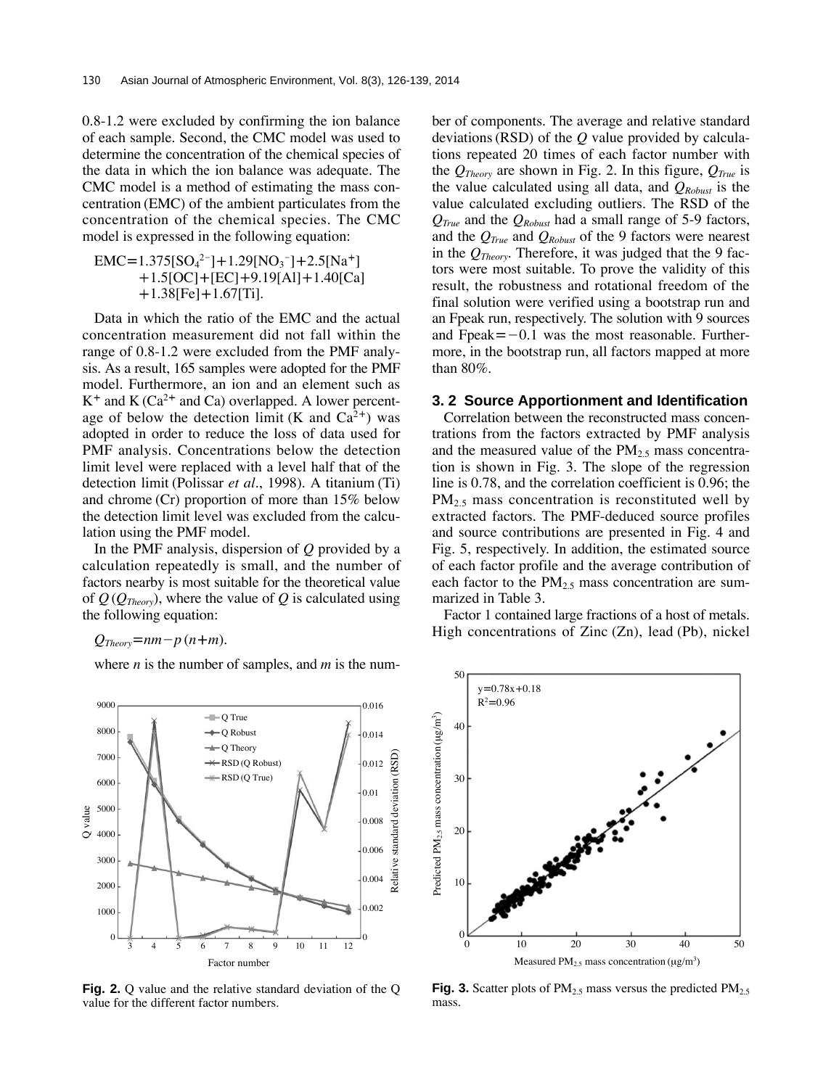0.8-1.2 were excluded by confirming the ion balance of each sample. Second, the CMC model was used to determine the concentration of the chemical species of the data in which the ion balance was adequate. The CMC model is a method of estimating the mass concentration (EMC) of the ambient particulates from the concentration of the chemical species. The CMC model is expressed in the following equation:

$$
EMC=1.375[SO42-] + 1.29[NO3-] + 2.5[Na+]+ 1.5[OC] + [EC] + 9.19[Al] + 1.40[Ca]+ 1.38[Fe] + 1.67[Ti].
$$

Data in which the ratio of the EMC and the actual concentration measurement did not fall within the range of 0.8-1.2 were excluded from the PMF analysis. As a result, 165 samples were adopted for the PMF model. Furthermore, an ion and an element such as  $K^+$  and  $K(Ca^{2+}$  and Ca) overlapped. A lower percentage of below the detection limit (K and  $Ca^{2+}$ ) was adopted in order to reduce the loss of data used for PMF analysis. Concentrations below the detection limit level were replaced with a level half that of the detection limit (Polissar *et al.*, 1998). A titanium (Ti) and chrome (Cr) proportion of more than 15% below the detection limit level was excluded from the calculation using the PMF model.

In the PMF analysis, dispersion of *Q* provided by a calculation repeatedly is small, and the number of factors nearby is most suitable for the theoretical value of *Q* (*QTheory*), where the value of *Q* is calculated using the following equation:

 $Q_{Theory} = nm - p(n+m)$ .

where *n* is the number of samples, and *m* is the num-



**Fig. 2.** Q value and the relative standard deviation of the Q value for the different factor numbers.

ber of components. The average and relative standard deviations (RSD) of the *Q* value provided by calculations repeated 20 times of each factor number with the  $Q_{Theory}$  are shown in Fig. 2. In this figure,  $Q_{True}$  is the value calculated using all data, and  $Q_{Robust}$  is the value calculated excluding outliers. The RSD of the *QTrue* and the *QRobust* had a small range of 5-9 factors, and the *QTrue* and *QRobust* of the 9 factors were nearest in the *QTheory*. Therefore, it was judged that the 9 factors were most suitable. To prove the validity of this result, the robustness and rotational freedom of the final solution were verified using a bootstrap run and an Fpeak run, respectively. The solution with 9 sources and Fpeak $=-0.1$  was the most reasonable. Furthermore, in the bootstrap run, all factors mapped at more than 80%.

#### **3. 2 Source Apportionment and Identification**

Correlation between the reconstructed mass concentrations from the factors extracted by PMF analysis and the measured value of the  $PM<sub>2.5</sub>$  mass concentration is shown in Fig. 3. The slope of the regression line is 0.78, and the correlation coefficient is 0.96; the PM<sub>2.5</sub> mass concentration is reconstituted well by extracted factors. The PMF-deduced source profiles and source contributions are presented in Fig. 4 and Fig. 5, respectively. In addition, the estimated source of each factor profile and the average contribution of each factor to the  $PM_{2,5}$  mass concentration are summarized in Table 3.

Factor 1 contained large fractions of a host of metals. High concentrations of Zinc (Zn), lead (Pb), nickel



**Fig. 3.** Scatter plots of  $PM_{2.5}$  mass versus the predicted  $PM_{2.5}$ mass.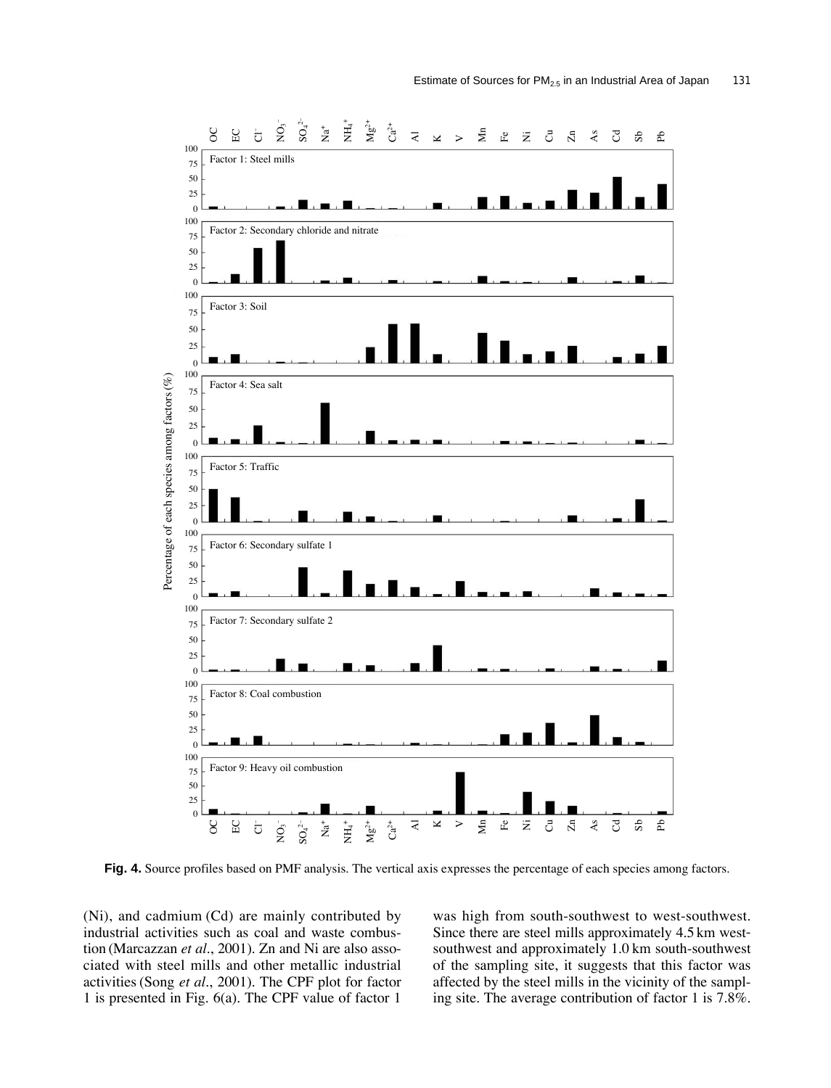

**Fig. 4.** Source profiles based on PMF analysis. The vertical axis expresses the percentage of each species among factors.

(Ni), and cadmium (Cd) are mainly contributed by industrial activities such as coal and waste combustion (Marcazzan *et al.*, 2001). Zn and Ni are also associated with steel mills and other metallic industrial activities (Song *et al.*, 2001). The CPF plot for factor 1 is presented in Fig. 6(a). The CPF value of factor 1

was high from south-southwest to west-southwest. Since there are steel mills approximately 4.5 km westsouthwest and approximately 1.0 km south-southwest of the sampling site, it suggests that this factor was affected by the steel mills in the vicinity of the sampling site. The average contribution of factor 1 is 7.8%.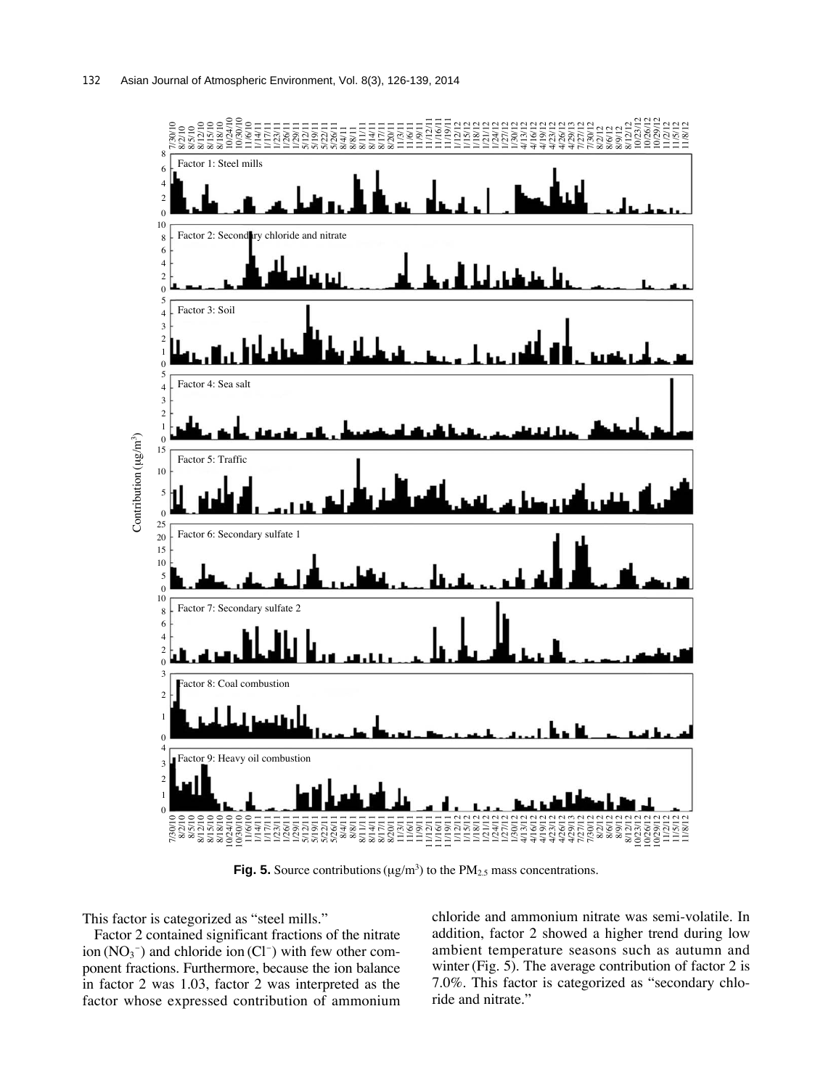

**Fig. 5.** Source contributions ( $\mu$ g/m<sup>3</sup>) to the PM<sub>2.5</sub> mass concentrations.

This factor is categorized as "steel mills."

Factor 2 contained significant fractions of the nitrate ion  $(NO<sub>3</sub><sup>-</sup>)$  and chloride ion  $(Cl<sup>-</sup>)$  with few other component fractions. Furthermore, because the ion balance in factor 2 was 1.03, factor 2 was interpreted as the factor whose expressed contribution of ammonium chloride and ammonium nitrate was semi-volatile. In addition, factor 2 showed a higher trend during low ambient temperature seasons such as autumn and winter (Fig. 5). The average contribution of factor 2 is 7.0%. This factor is categorized as "secondary chloride and nitrate."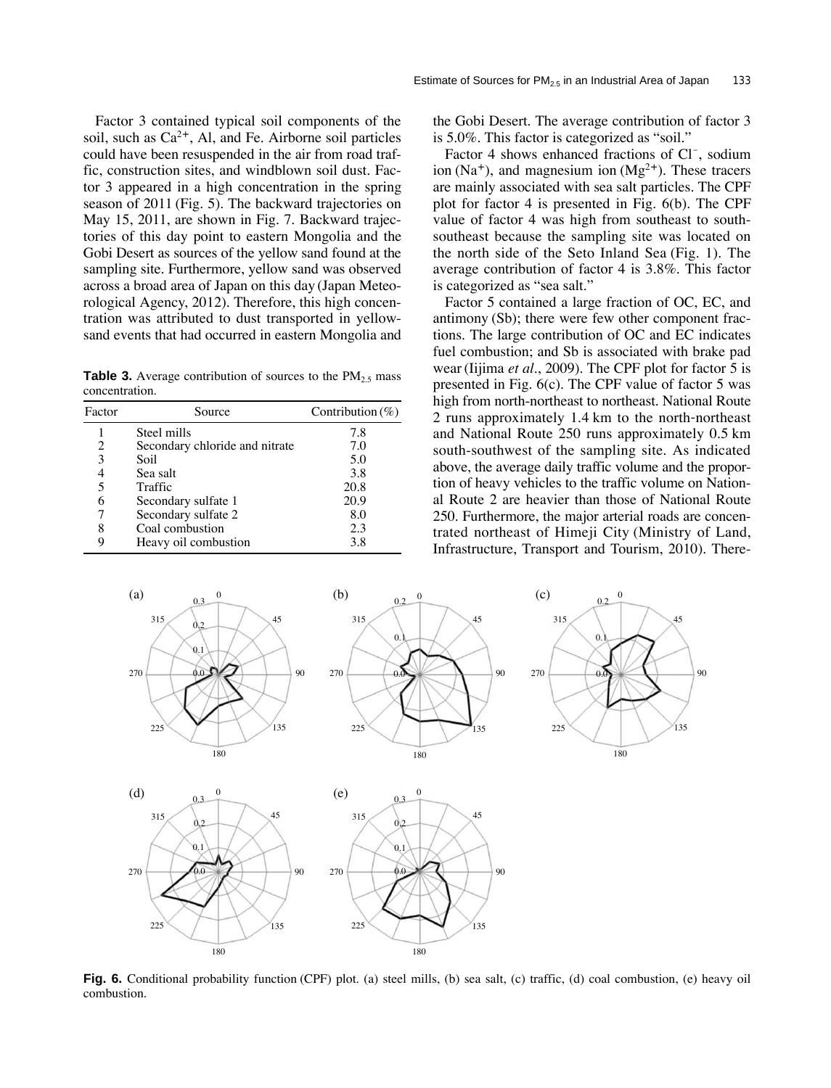Factor 3 contained typical soil components of the soil, such as  $Ca^{2+}$ , Al, and Fe. Airborne soil particles could have been resuspended in the air from road traffic, construction sites, and windblown soil dust. Factor 3 appeared in a high concentration in the spring season of 2011 (Fig. 5). The backward trajectories on May 15, 2011, are shown in Fig. 7. Backward trajectories of this day point to eastern Mongolia and the Gobi Desert as sources of the yellow sand found at the sampling site. Furthermore, yellow sand was observed across a broad area of Japan on this day (Japan Meteorological Agency, 2012). Therefore, this high concentration was attributed to dust transported in yellowsand events that had occurred in eastern Mongolia and

**Table 3.** Average contribution of sources to the  $PM_{2.5}$  mass concentration.

| Factor | Source                         | Contribution $(\%)$ |
|--------|--------------------------------|---------------------|
|        | Steel mills                    | 7.8                 |
| 2      | Secondary chloride and nitrate | 7.0                 |
| 3      | Soil.                          | 5.0                 |
| 4      | Sea salt                       | 3.8                 |
| 5      | Traffic                        | 20.8                |
| 6      | Secondary sulfate 1            | 20.9                |
|        | Secondary sulfate 2            | 8.0                 |
| 8      | Coal combustion                | 2.3                 |
| 9      | Heavy oil combustion           | 3.8                 |

the Gobi Desert. The average contribution of factor 3 is 5.0%. This factor is categorized as "soil."

Factor 4 shows enhanced fractions of Cl<sup>-</sup>, sodium ion (Na<sup>+</sup>), and magnesium ion (Mg<sup>2+</sup>). These tracers are mainly associated with sea salt particles. The CPF plot for factor 4 is presented in Fig. 6(b). The CPF value of factor 4 was high from southeast to southsoutheast because the sampling site was located on the north side of the Seto Inland Sea (Fig. 1). The average contribution of factor 4 is 3.8%. This factor is categorized as "sea salt."

Factor 5 contained a large fraction of OC, EC, and antimony (Sb); there were few other component fractions. The large contribution of OC and EC indicates fuel combustion; and Sb is associated with brake pad wear (Iijima *et al.*, 2009). The CPF plot for factor 5 is presented in Fig. 6(c). The CPF value of factor 5 was high from north-northeast to northeast. National Route 2 runs approximately 1.4 km to the north-northeast and National Route 250 runs approximately 0.5 km south-southwest of the sampling site. As indicated above, the average daily traffic volume and the proportion of heavy vehicles to the traffic volume on National Route 2 are heavier than those of National Route 250. Furthermore, the major arterial roads are concentrated northeast of Himeji City (Ministry of Land, Infrastructure, Transport and Tourism, 2010). There-



**Fig. 6.** Conditional probability function (CPF) plot. (a) steel mills, (b) sea salt, (c) traffic, (d) coal combustion, (e) heavy oil combustion.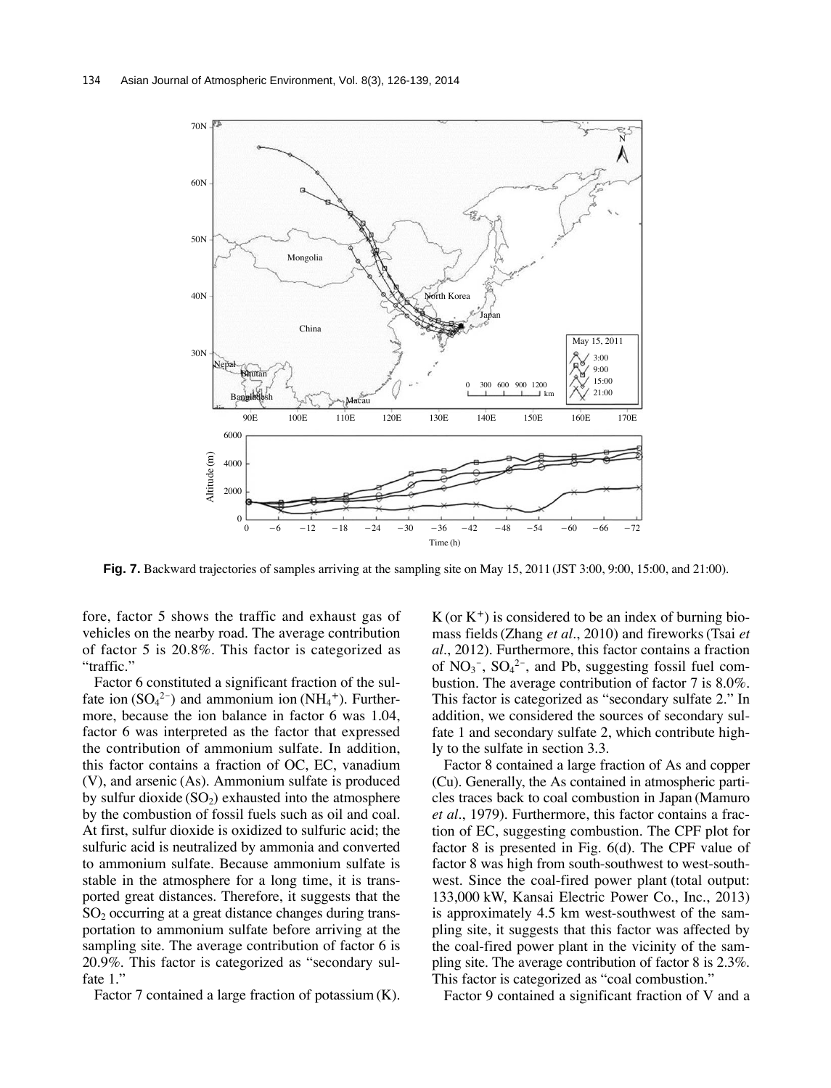

**Fig. 7.** Backward trajectories of samples arriving at the sampling site on May 15, 2011 (JST 3:00, 9:00, 15:00, and 21:00).

fore, factor 5 shows the traffic and exhaust gas of vehicles on the nearby road. The average contribution of factor 5 is 20.8%. This factor is categorized as "traffic."

Factor 6 constituted a significant fraction of the sulfate ion  $(SO_4^2)$  and ammonium ion  $(NH_4^+)$ . Furthermore, because the ion balance in factor 6 was 1.04, factor 6 was interpreted as the factor that expressed the contribution of ammonium sulfate. In addition, this factor contains a fraction of OC, EC, vanadium (V), and arsenic (As). Ammonium sulfate is produced by sulfur dioxide  $(SO<sub>2</sub>)$  exhausted into the atmosphere by the combustion of fossil fuels such as oil and coal. At first, sulfur dioxide is oxidized to sulfuric acid; the sulfuric acid is neutralized by ammonia and converted to ammonium sulfate. Because ammonium sulfate is stable in the atmosphere for a long time, it is transported great distances. Therefore, it suggests that the  $SO<sub>2</sub>$  occurring at a great distance changes during transportation to ammonium sulfate before arriving at the sampling site. The average contribution of factor 6 is 20.9%. This factor is categorized as "secondary sulfate 1.'

Factor 7 contained a large fraction of potassium (K).

 $K$  (or  $K^+$ ) is considered to be an index of burning biomass fields (Zhang *et al.*, 2010) and fireworks (Tsai *et al.*, 2012). Furthermore, this factor contains a fraction of  $NO_3^-$ ,  $SO_4^2^-$ , and Pb, suggesting fossil fuel combustion. The average contribution of factor 7 is 8.0%. This factor is categorized as "secondary sulfate 2." In addition, we considered the sources of secondary sulfate 1 and secondary sulfate 2, which contribute highly to the sulfate in section 3.3.

Factor 8 contained a large fraction of As and copper (Cu). Generally, the As contained in atmospheric particles traces back to coal combustion in Japan (Mamuro *et al.*, 1979). Furthermore, this factor contains a fraction of EC, suggesting combustion. The CPF plot for factor 8 is presented in Fig. 6(d). The CPF value of factor 8 was high from south-southwest to west-southwest. Since the coal-fired power plant (total output: 133,000 kW, Kansai Electric Power Co., Inc., 2013) is approximately 4.5 km west-southwest of the sampling site, it suggests that this factor was affected by the coal-fired power plant in the vicinity of the sampling site. The average contribution of factor 8 is 2.3%. This factor is categorized as "coal combustion."

Factor 9 contained a significant fraction of V and a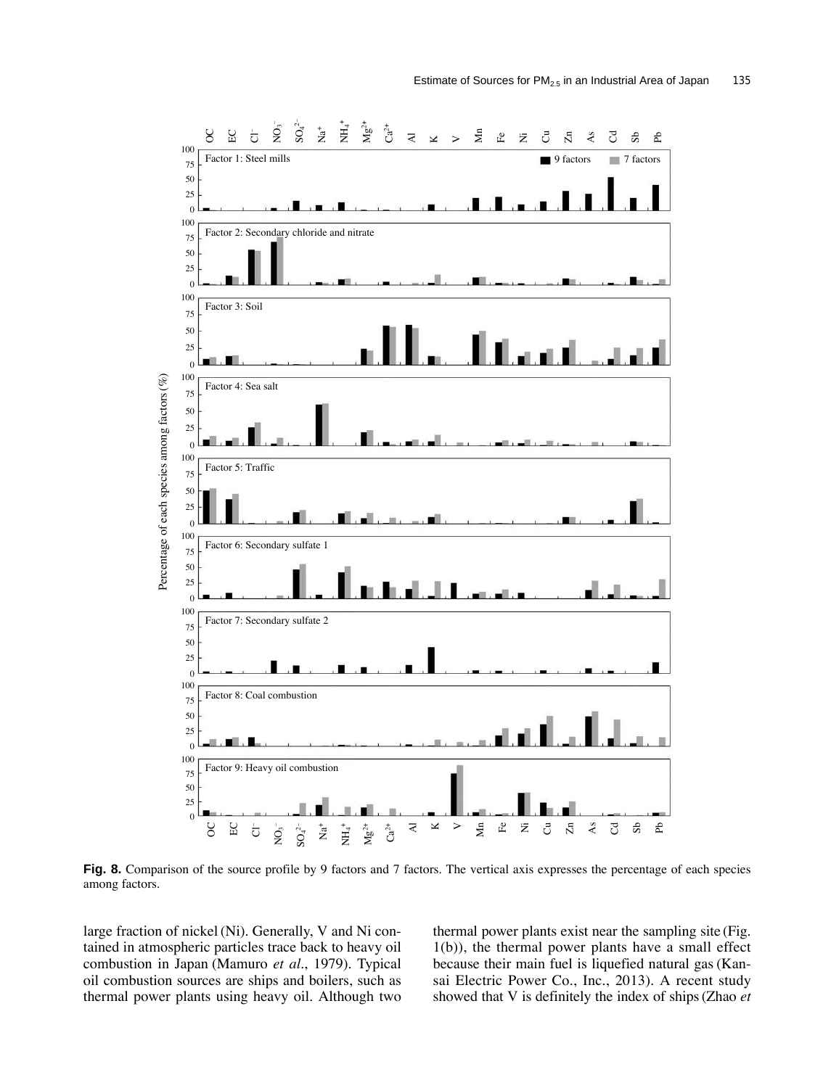

**Fig. 8.** Comparison of the source profile by 9 factors and 7 factors. The vertical axis expresses the percentage of each species among factors.

large fraction of nickel (Ni). Generally, V and Ni contained in atmospheric particles trace back to heavy oil combustion in Japan (Mamuro *et al.*, 1979). Typical oil combustion sources are ships and boilers, such as thermal power plants using heavy oil. Although two

thermal power plants exist near the sampling site (Fig. 1(b)), the thermal power plants have a small effect because their main fuel is liquefied natural gas (Kansai Electric Power Co., Inc., 2013). A recent study showed that V is definitely the index of ships (Zhao *et*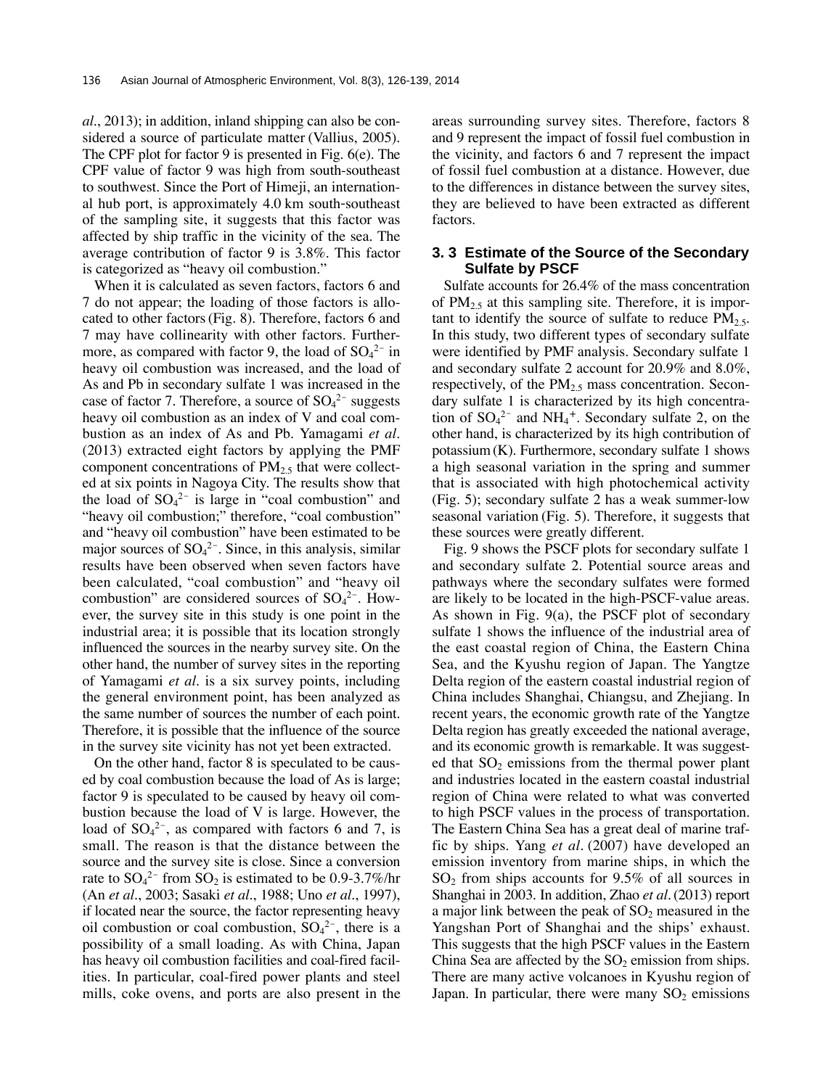*al.*, 2013); in addition, inland shipping can also be considered a source of particulate matter (Vallius, 2005). The CPF plot for factor 9 is presented in Fig. 6(e). The CPF value of factor 9 was high from south-southeast to southwest. Since the Port of Himeji, an international hub port, is approximately 4.0 km south-southeast of the sampling site, it suggests that this factor was affected by ship traffic in the vicinity of the sea. The average contribution of factor 9 is 3.8%. This factor is categorized as "heavy oil combustion."

When it is calculated as seven factors, factors 6 and 7 do not appear; the loading of those factors is allocated to other factors (Fig. 8). Therefore, factors 6 and 7 may have collinearity with other factors. Furthermore, as compared with factor 9, the load of  $SO_4^2$  in heavy oil combustion was increased, and the load of As and Pb in secondary sulfate 1 was increased in the case of factor 7. Therefore, a source of  $SO_4^2$ <sup>-</sup> suggests heavy oil combustion as an index of V and coal combustion as an index of As and Pb. Yamagami *et al.* (2013) extracted eight factors by applying the PMF component concentrations of  $PM_{2.5}$  that were collected at six points in Nagoya City. The results show that the load of  $SO_4^2$  is large in "coal combustion" and "heavy oil combustion;" therefore, "coal combustion" and "heavy oil combustion" have been estimated to be major sources of  $SO_4^2$ . Since, in this analysis, similar results have been observed when seven factors have been calculated, "coal combustion" and "heavy oil combustion" are considered sources of  $SO_4^2$ . However, the survey site in this study is one point in the industrial area; it is possible that its location strongly influenced the sources in the nearby survey site. On the other hand, the number of survey sites in the reporting of Yamagami *et al.* is a six survey points, including the general environment point, has been analyzed as the same number of sources the number of each point. Therefore, it is possible that the influence of the source in the survey site vicinity has not yet been extracted.

On the other hand, factor 8 is speculated to be caused by coal combustion because the load of As is large; factor 9 is speculated to be caused by heavy oil combustion because the load of V is large. However, the load of  $SO_4^2$ <sup>-</sup>, as compared with factors 6 and 7, is small. The reason is that the distance between the source and the survey site is close. Since a conversion rate to  $SO_4^2$ <sup>-</sup> from  $SO_2$  is estimated to be 0.9-3.7%/hr (An *et al.*, 2003; Sasaki *et al.*, 1988; Uno *et al.*, 1997), if located near the source, the factor representing heavy oil combustion or coal combustion,  $\text{SO}_4^2$ , there is a possibility of a small loading. As with China, Japan has heavy oil combustion facilities and coal-fired facilities. In particular, coal-fired power plants and steel mills, coke ovens, and ports are also present in the areas surrounding survey sites. Therefore, factors 8 and 9 represent the impact of fossil fuel combustion in the vicinity, and factors 6 and 7 represent the impact of fossil fuel combustion at a distance. However, due to the differences in distance between the survey sites, they are believed to have been extracted as different factors.

## **3. 3 Estimate of the Source of the Secondary Sulfate by PSCF**

Sulfate accounts for 26.4% of the mass concentration of  $PM_{2.5}$  at this sampling site. Therefore, it is important to identify the source of sulfate to reduce  $PM<sub>2.5</sub>$ . In this study, two different types of secondary sulfate were identified by PMF analysis. Secondary sulfate 1 and secondary sulfate 2 account for 20.9% and 8.0%, respectively, of the  $PM_{2.5}$  mass concentration. Secondary sulfate 1 is characterized by its high concentration of  $SO_4^2$ <sup>-</sup> and NH<sub>4</sub><sup>+</sup>. Secondary sulfate 2, on the other hand, is characterized by its high contribution of potassium (K). Furthermore, secondary sulfate 1 shows a high seasonal variation in the spring and summer that is associated with high photochemical activity (Fig. 5); secondary sulfate 2 has a weak summer-low seasonal variation (Fig. 5). Therefore, it suggests that these sources were greatly different.

Fig. 9 shows the PSCF plots for secondary sulfate 1 and secondary sulfate 2. Potential source areas and pathways where the secondary sulfates were formed are likely to be located in the high-PSCF-value areas. As shown in Fig. 9(a), the PSCF plot of secondary sulfate 1 shows the influence of the industrial area of the east coastal region of China, the Eastern China Sea, and the Kyushu region of Japan. The Yangtze Delta region of the eastern coastal industrial region of China includes Shanghai, Chiangsu, and Zhejiang. In recent years, the economic growth rate of the Yangtze Delta region has greatly exceeded the national average, and its economic growth is remarkable. It was suggested that  $SO_2$  emissions from the thermal power plant and industries located in the eastern coastal industrial region of China were related to what was converted to high PSCF values in the process of transportation. The Eastern China Sea has a great deal of marine traffic by ships. Yang *et al.* (2007) have developed an emission inventory from marine ships, in which the  $SO<sub>2</sub>$  from ships accounts for 9.5% of all sources in Shanghai in 2003. In addition, Zhao *et al.*(2013) report a major link between the peak of  $SO<sub>2</sub>$  measured in the Yangshan Port of Shanghai and the ships' exhaust. This suggests that the high PSCF values in the Eastern China Sea are affected by the  $SO_2$  emission from ships. There are many active volcanoes in Kyushu region of Japan. In particular, there were many  $SO<sub>2</sub>$  emissions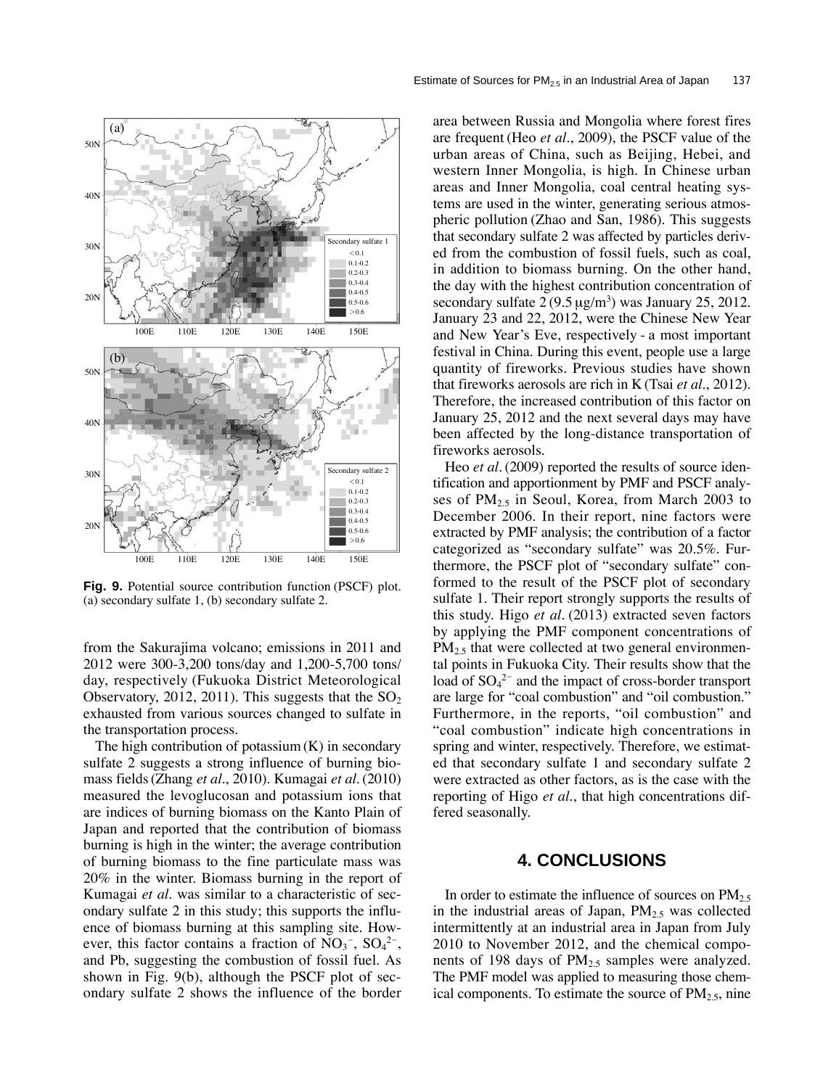

**Fig. 9.** Potential source contribution function (PSCF) plot. (a) secondary sulfate 1, (b) secondary sulfate 2.

from the Sakurajima volcano; emissions in 2011 and 2012 were 300-3,200 tons/day and 1,200-5,700 tons/ day, respectively (Fukuoka District Meteorological Observatory, 2012, 2011). This suggests that the  $SO_2$ exhausted from various sources changed to sulfate in the transportation process.

The high contribution of potassium  $(K)$  in secondary sulfate 2 suggests a strong influence of burning biomass fields (Zhang *et al.*, 2010). Kumagai *et al.*(2010) measured the levoglucosan and potassium ions that are indices of burning biomass on the Kanto Plain of Japan and reported that the contribution of biomass burning is high in the winter; the average contribution of burning biomass to the fine particulate mass was 20% in the winter. Biomass burning in the report of Kumagai *et al.* was similar to a characteristic of secondary sulfate 2 in this study; this supports the influence of biomass burning at this sampling site. However, this factor contains a fraction of  $NO<sub>3</sub><sup>-</sup>$ ,  $SO<sub>4</sub><sup>2</sup><sup>-</sup>$ , and Pb, suggesting the combustion of fossil fuel. As shown in Fig. 9(b), although the PSCF plot of secondary sulfate 2 shows the influence of the border

area between Russia and Mongolia where forest fires are frequent (Heo *et al.*, 2009), the PSCF value of the urban areas of China, such as Beijing, Hebei, and western Inner Mongolia, is high. In Chinese urban areas and Inner Mongolia, coal central heating systems are used in the winter, generating serious atmospheric pollution (Zhao and San, 1986). This suggests that secondary sulfate 2 was affected by particles derived from the combustion of fossil fuels, such as coal, in addition to biomass burning. On the other hand, the day with the highest contribution concentration of secondary sulfate  $2(9.5 \,\mathrm{\upmu g/m^3})$  was January 25, 2012. January 23 and 22, 2012, were the Chinese New Year and New Year's Eve, respectively - a most important festival in China. During this event, people use a large quantity of fireworks. Previous studies have shown that fireworks aerosols are rich in K (Tsai *et al.*, 2012). Therefore, the increased contribution of this factor on January 25, 2012 and the next several days may have been affected by the long-distance transportation of fireworks aerosols.

Heo *et al.* (2009) reported the results of source identification and apportionment by PMF and PSCF analyses of  $PM_{2.5}$  in Seoul, Korea, from March 2003 to December 2006. In their report, nine factors were extracted by PMF analysis; the contribution of a factor categorized as "secondary sulfate" was 20.5%. Furthermore, the PSCF plot of "secondary sulfate" conformed to the result of the PSCF plot of secondary sulfate 1. Their report strongly supports the results of this study. Higo *et al.* (2013) extracted seven factors by applying the PMF component concentrations of  $PM<sub>2.5</sub>$  that were collected at two general environmental points in Fukuoka City. Their results show that the load of  $SO_4^2$ <sup>-</sup> and the impact of cross-border transport are large for "coal combustion" and "oil combustion." Furthermore, in the reports, "oil combustion" and "coal combustion" indicate high concentrations in spring and winter, respectively. Therefore, we estimated that secondary sulfate 1 and secondary sulfate 2 were extracted as other factors, as is the case with the reporting of Higo *et al.*, that high concentrations differed seasonally.

## **4. CONCLUSIONS**

In order to estimate the influence of sources on  $PM_{2.5}$ in the industrial areas of Japan,  $PM<sub>2.5</sub>$  was collected intermittently at an industrial area in Japan from July 2010 to November 2012, and the chemical components of 198 days of  $PM_{2.5}$  samples were analyzed. The PMF model was applied to measuring those chemical components. To estimate the source of  $PM<sub>2.5</sub>$ , nine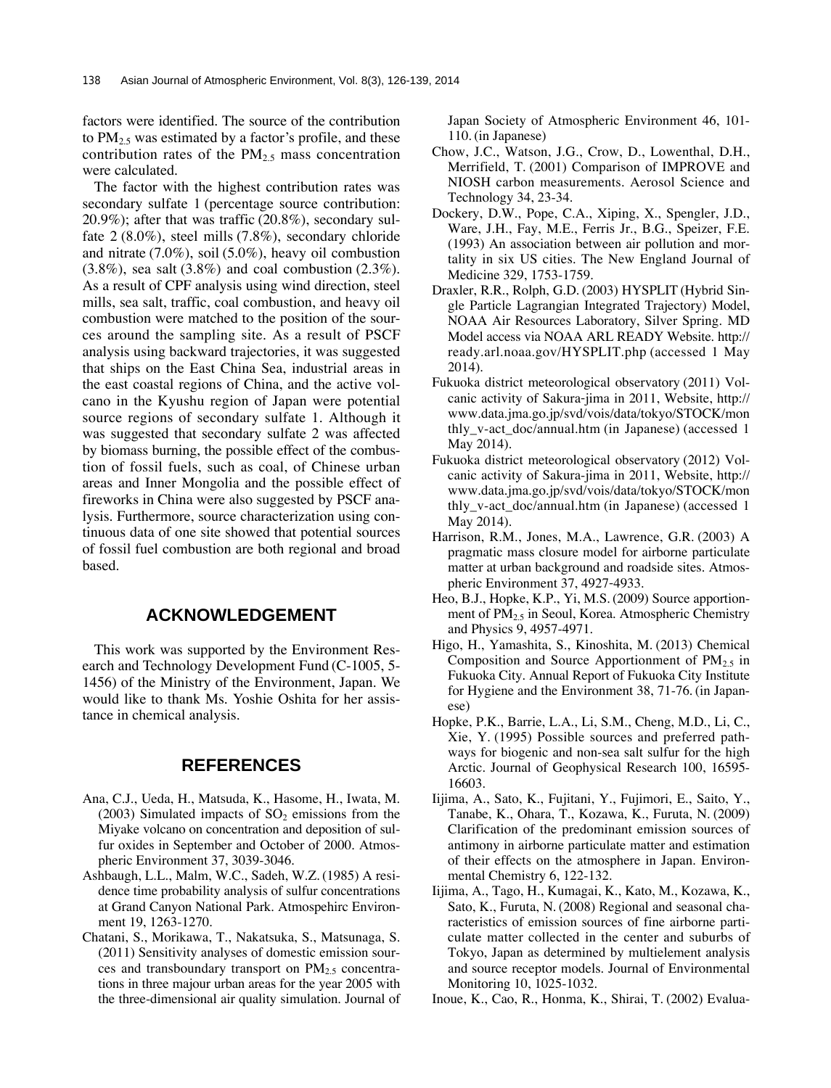factors were identified. The source of the contribution to  $PM_{2.5}$  was estimated by a factor's profile, and these contribution rates of the  $PM<sub>2.5</sub>$  mass concentration were calculated.

The factor with the highest contribution rates was secondary sulfate 1 (percentage source contribution: 20.9%); after that was traffic (20.8%), secondary sulfate 2 (8.0%), steel mills (7.8%), secondary chloride and nitrate (7.0%), soil (5.0%), heavy oil combustion  $(3.8\%)$ , sea salt  $(3.8\%)$  and coal combustion  $(2.3\%)$ . As a result of CPF analysis using wind direction, steel mills, sea salt, traffic, coal combustion, and heavy oil combustion were matched to the position of the sources around the sampling site. As a result of PSCF analysis using backward trajectories, it was suggested that ships on the East China Sea, industrial areas in the east coastal regions of China, and the active volcano in the Kyushu region of Japan were potential source regions of secondary sulfate 1. Although it was suggested that secondary sulfate 2 was affected by biomass burning, the possible effect of the combustion of fossil fuels, such as coal, of Chinese urban areas and Inner Mongolia and the possible effect of fireworks in China were also suggested by PSCF analysis. Furthermore, source characterization using continuous data of one site showed that potential sources of fossil fuel combustion are both regional and broad based.

## **ACKNOWLEDGEMENT**

This work was supported by the Environment Research and Technology Development Fund (C-1005, 5- 1456) of the Ministry of the Environment, Japan. We would like to thank Ms. Yoshie Oshita for her assistance in chemical analysis.

# **REFERENCES**

- Ana, C.J., Ueda, H., Matsuda, K., Hasome, H., Iwata, M. (2003) Simulated impacts of  $SO<sub>2</sub>$  emissions from the Miyake volcano on concentration and deposition of sulfur oxides in September and October of 2000. Atmospheric Environment 37, 3039-3046.
- Ashbaugh, L.L., Malm, W.C., Sadeh, W.Z. (1985) A residence time probability analysis of sulfur concentrations at Grand Canyon National Park. Atmospehirc Environment 19, 1263-1270.
- Chatani, S., Morikawa, T., Nakatsuka, S., Matsunaga, S. (2011) Sensitivity analyses of domestic emission sources and transboundary transport on  $PM<sub>2.5</sub>$  concentrations in three majour urban areas for the year 2005 with the three-dimensional air quality simulation. Journal of

Japan Society of Atmospheric Environment 46, 101- 110. (in Japanese)

- Chow, J.C., Watson, J.G., Crow, D., Lowenthal, D.H., Merrifield, T. (2001) Comparison of IMPROVE and NIOSH carbon measurements. Aerosol Science and Technology 34, 23-34.
- Dockery, D.W., Pope, C.A., Xiping, X., Spengler, J.D., Ware, J.H., Fay, M.E., Ferris Jr., B.G., Speizer, F.E. (1993) An association between air pollution and mortality in six US cities. The New England Journal of Medicine 329, 1753-1759.
- Draxler, R.R., Rolph, G.D. (2003) HYSPLIT (Hybrid Single Particle Lagrangian Integrated Trajectory) Model, NOAA Air Resources Laboratory, Silver Spring. MD Model access via NOAA ARL READY Website. http:// ready.arl.noaa.gov/HYSPLIT.php (accessed 1 May 2014).
- Fukuoka district meteorological observatory (2011) Volcanic activity of Sakura-jima in 2011, Website, http:// www.data.jma.go.jp/svd/vois/data/tokyo/STOCK/mon thly\_v-act\_doc/annual.htm (in Japanese) (accessed 1 May 2014).
- Fukuoka district meteorological observatory (2012) Volcanic activity of Sakura-jima in 2011, Website, http:// www.data.jma.go.jp/svd/vois/data/tokyo/STOCK/mon thly\_v-act\_doc/annual.htm (in Japanese) (accessed 1 May 2014).
- Harrison, R.M., Jones, M.A., Lawrence, G.R. (2003) A pragmatic mass closure model for airborne particulate matter at urban background and roadside sites. Atmospheric Environment 37, 4927-4933.
- Heo, B.J., Hopke, K.P., Yi, M.S. (2009) Source apportionment of PM<sub>2.5</sub> in Seoul, Korea. Atmospheric Chemistry and Physics 9, 4957-4971.
- Higo, H., Yamashita, S., Kinoshita, M. (2013) Chemical Composition and Source Apportionment of  $PM_{2.5}$  in Fukuoka City. Annual Report of Fukuoka City Institute for Hygiene and the Environment 38, 71-76. (in Japanese)
- Hopke, P.K., Barrie, L.A., Li, S.M., Cheng, M.D., Li, C., Xie, Y. (1995) Possible sources and preferred pathways for biogenic and non-sea salt sulfur for the high Arctic. Journal of Geophysical Research 100, 16595- 16603.
- Iijima, A., Sato, K., Fujitani, Y., Fujimori, E., Saito, Y., Tanabe, K., Ohara, T., Kozawa, K., Furuta, N. (2009) Clarification of the predominant emission sources of antimony in airborne particulate matter and estimation of their effects on the atmosphere in Japan. Environmental Chemistry 6, 122-132.
- Iijima, A., Tago, H., Kumagai, K., Kato, M., Kozawa, K., Sato, K., Furuta, N. (2008) Regional and seasonal characteristics of emission sources of fine airborne particulate matter collected in the center and suburbs of Tokyo, Japan as determined by multielement analysis and source receptor models. Journal of Environmental Monitoring 10, 1025-1032.
- Inoue, K., Cao, R., Honma, K., Shirai, T. (2002) Evalua-